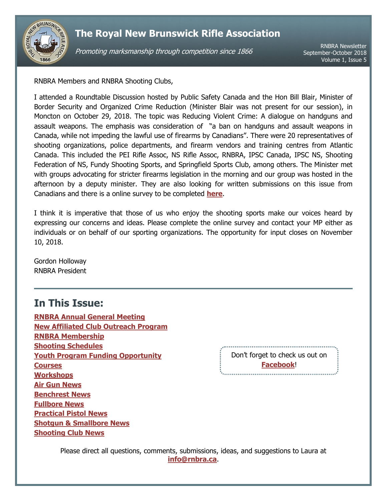

Promoting marksmanship through competition since 1866

RNBRA Newsletter September-October 2018 Volume 1, Issue 5

RNBRA Members and RNBRA Shooting Clubs,

I attended a Roundtable Discussion hosted by Public Safety Canada and the Hon Bill Blair, Minister of Border Security and Organized Crime Reduction (Minister Blair was not present for our session), in Moncton on October 29, 2018. The topic was Reducing Violent Crime: A dialogue on handguns and assault weapons. The emphasis was consideration of "a ban on handguns and assault weapons in Canada, while not impeding the lawful use of firearms by Canadians". There were 20 representatives of shooting organizations, police departments, and firearm vendors and training centres from Atlantic Canada. This included the PEI Rifle Assoc, NS Rifle Assoc, RNBRA, IPSC Canada, IPSC NS, Shooting Federation of NS, Fundy Shooting Sports, and Springfield Sports Club, among others. The Minister met with groups advocating for stricter firearms legislation in the morning and our group was hosted in the afternoon by a deputy minister. They are also looking for written submissions on this issue from Canadians and there is a online survey to be completed **[here](https://www.publicsafety.gc.ca/cnt/cnslttns/hndgn/index-en.aspx)**.

I think it is imperative that those of us who enjoy the shooting sports make our voices heard by expressing our concerns and ideas. Please complete the online survey and contact your MP either as individuals or on behalf of our sporting organizations. The opportunity for input closes on November 10, 2018.

Gordon Holloway RNBRA President

# <span id="page-0-0"></span>**In This Issue:**

**[RNBRA Annual General Meeting](#page-1-0) [New Affiliated Club Outreach Program](#page-1-1) [RNBRA Membership](#page-1-2) [Shooting Schedules](#page-1-3) [Youth Program Funding Opportunity](#page-2-0) [Courses](#page-2-1) [Workshops](#page-2-2) [Air Gun](#page-3-0) News [Benchrest News](#page-3-1) [Fullbore News](#page-4-0) [Practical Pistol](#page-5-0) News Shotgun [& Smallbore](#page-5-1) News [Shooting Club News](#page-6-0)**

Don't forget to check us out on **[Facebook](http://www.facebook.com/RNBRA)**!

Please direct all questions, comments, submissions, ideas, and suggestions to Laura at **[info@rnbra.ca](mailto:info@rnbra.ca?subject=RNBRA%20Newsletter)**.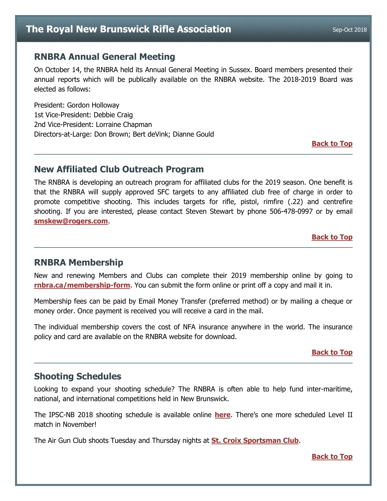## <span id="page-1-0"></span>**RNBRA Annual General Meeting**

On October 14, the RNBRA held its Annual General Meeting in Sussex. Board members presented their annual reports which will be publically available on the RNBRA website. The 2018-2019 Board was elected as follows:

President: Gordon Holloway 1st Vice-President: Debbie Craig 2nd Vice-President: Lorraine Chapman Directors-at-Large: Don Brown; Bert deVink; Dianne Gould

**[Back to Top](#page-0-0)**

## <span id="page-1-1"></span>**New Affiliated Club Outreach Program**

The RNBRA is developing an outreach program for affiliated clubs for the 2019 season. One benefit is that the RNBRA will supply approved SFC targets to any affiliated club free of charge in order to promote competitive shooting. This includes targets for rifle, pistol, rimfire (.22) and centrefire shooting. If you are interested, please contact Steven Stewart by phone 506-478-0997 or by email **[smskew@rogers.com](mailto:smskew@rogers.com?subject=Club%20Targets)**.

**[Back to Top](#page-0-0)**

### <span id="page-1-2"></span>**RNBRA Membership**

New and renewing Members and Clubs can complete their 2019 membership online by going to **[rnbra.ca/membership-form](http://rnbra.ca/membership-form/)**. You can submit the form online or print off a copy and mail it in.

Membership fees can be paid by Email Money Transfer (preferred method) or by mailing a cheque or money order. Once payment is received you will receive a card in the mail.

The individual membership covers the cost of NFA insurance anywhere in the world. The insurance policy and card are available on the RNBRA website for download.

#### **[Back to Top](#page-0-0)**

## <span id="page-1-3"></span>**Shooting Schedules**

Looking to expand your shooting schedule? The RNBRA is often able to help fund inter-maritime, national, and international competitions held in New Brunswick.

The IPSC-NB 2018 shooting schedule is available online **[here](http://www.ipscnb.ca/prod/images/formsanddocuments/2018%20IPSC%20NB%20Schedule.pdf)**. There's one more scheduled Level II match in November!

The Air Gun Club shoots Tuesday and Thursday nights at **[St. Croix Sportsman Club](http://www.stcroixsportsmanclub.com/)**.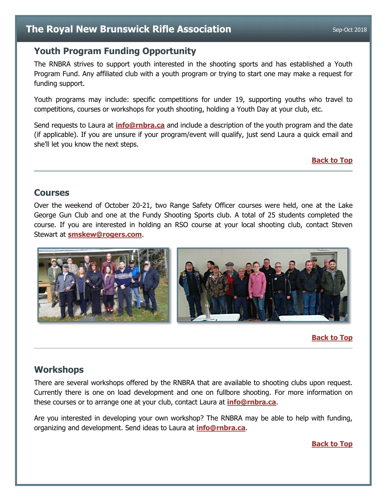# <span id="page-2-0"></span>**Youth Program Funding Opportunity**

The RNBRA strives to support youth interested in the shooting sports and has established a Youth Program Fund. Any affiliated club with a youth program or trying to start one may make a request for funding support.

Youth programs may include: specific competitions for under 19, supporting youths who travel to competitions, courses or workshops for youth shooting, holding a Youth Day at your club, etc.

Send requests to Laura at **[info@rnbra.ca](mailto:info@rnbra.ca?subject=Youth%20Program%20Funding)** and include a description of the youth program and the date (if applicable). If you are unsure if your program/event will qualify, just send Laura a quick email and she'll let you know the next steps.

#### **[Back to Top](#page-0-0)**

## <span id="page-2-1"></span>**Courses**

Over the weekend of October 20-21, two Range Safety Officer courses were held, one at the Lake George Gun Club and one at the Fundy Shooting Sports club. A total of 25 students completed the course. If you are interested in holding an RSO course at your local shooting club, contact Steven Stewart at **[smskew@rogers.com](mailto:smskew@rogers.com?subject=RSO%20Course)**.



#### **[Back to Top](#page-0-0)**

# <span id="page-2-2"></span>**Workshops**

There are several workshops offered by the RNBRA that are available to shooting clubs upon request. Currently there is one on load development and one on fullbore shooting. For more information on these courses or to arrange one at your club, contact Laura at **[info@rnbra.ca](mailto:info@rnbra.ca?subject=Newsletter-Workshop)**.

Are you interested in developing your own workshop? The RNBRA may be able to help with funding, organizing and development. Send ideas to Laura at **[info@rnbra.ca](mailto:info@rnbra.ca?subject=Newsletter-Workshop)**.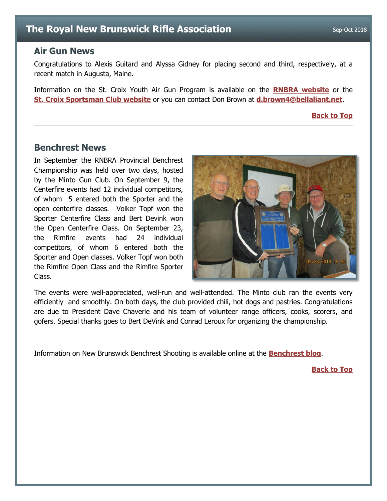## <span id="page-3-0"></span>**Air Gun News**

Congratulations to Alexis Guitard and Alyssa Gidney for placing second and third, respectively, at a recent match in Augusta, Maine.

Information on the St. Croix Youth Air Gun Program is available on the **[RNBRA website](http://rnbra.ca/)** or the **[St. Croix Sportsman Club website](http://www.stcroixsportsmanclub.com/apps/blog/categories/show/1610968-youth-airgun)** or you can contact Don Brown at **[d.brown4@bellaliant.net](mailto:d.brown4@bellaliant.net?subject=Air%20Gun)**.

**[Back to Top](#page-0-0)**

#### <span id="page-3-1"></span>**Benchrest News**

In September the RNBRA Provincial Benchrest Championship was held over two days, hosted by the Minto Gun Club. On September 9, the Centerfire events had 12 individual competitors, of whom 5 entered both the Sporter and the open centerfire classes. Volker Topf won the Sporter Centerfire Class and Bert Devink won the Open Centerfire Class. On September 23, the Rimfire events had 24 individual competitors, of whom 6 entered both the Sporter and Open classes. Volker Topf won both the Rimfire Open Class and the Rimfire Sporter Class.



The events were well-appreciated, well-run and well-attended. The Minto club ran the events very efficiently and smoothly. On both days, the club provided chili, hot dogs and pastries. Congratulations are due to President Dave Chaverie and his team of volunteer range officers, cooks, scorers, and gofers. Special thanks goes to Bert DeVink and Conrad Leroux for organizing the championship.

Information on New Brunswick Benchrest Shooting is available online at the **[Benchrest blog](http://newbrunswick-benchrest.blogspot.ca/)**.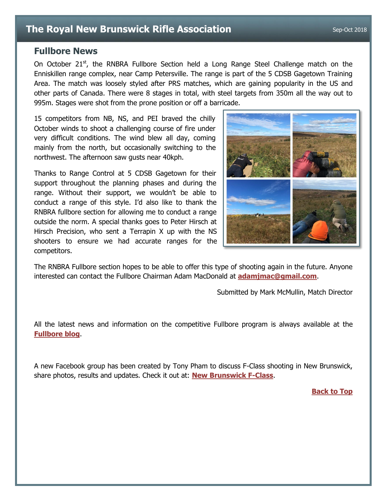## <span id="page-4-0"></span>**Fullbore News**

On October 21 $<sup>st</sup>$ , the RNBRA Fullbore Section held a Long Range Steel Challenge match on the</sup> Enniskillen range complex, near Camp Petersville. The range is part of the 5 CDSB Gagetown Training Area. The match was loosely styled after PRS matches, which are gaining popularity in the US and other parts of Canada. There were 8 stages in total, with steel targets from 350m all the way out to 995m. Stages were shot from the prone position or off a barricade.

15 competitors from NB, NS, and PEI braved the chilly October winds to shoot a challenging course of fire under very difficult conditions. The wind blew all day, coming mainly from the north, but occasionally switching to the northwest. The afternoon saw gusts near 40kph.

Thanks to Range Control at 5 CDSB Gagetown for their support throughout the planning phases and during the range. Without their support, we wouldn't be able to conduct a range of this style. I'd also like to thank the RNBRA fullbore section for allowing me to conduct a range outside the norm. A special thanks goes to Peter Hirsch at Hirsch Precision, who sent a Terrapin X up with the NS shooters to ensure we had accurate ranges for the competitors.



The RNBRA Fullbore section hopes to be able to offer this type of shooting again in the future. Anyone interested can contact the Fullbore Chairman Adam MacDonald at **[adamjmac@gmail.com](mailto:adamjmac@gmail.com?subject=Precision%20Rifle%20Interest)**.

Submitted by Mark McMullin, Match Director

All the latest news and information on the competitive Fullbore program is always available at the **[Fullbore blog](http://rnbrafullbore.blogspot.ca/)**.

A new Facebook group has been created by Tony Pham to discuss F-Class shooting in New Brunswick, share photos, results and updates. Check it out at: **[New Brunswick F-Class](https://www.facebook.com/groups/1399615920153610/)**.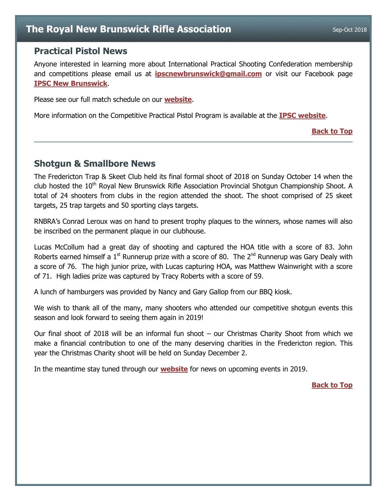## <span id="page-5-0"></span>**Practical Pistol News**

Anyone interested in learning more about International Practical Shooting Confederation membership and competitions please email us at **[ipscnewbrunswick@gmail.com](mailto:ipscnewbrunswick@gmail.com)** or visit our Facebook page **[IPSC New Brunswick](https://www.facebook.com/IpscNewBrunswick/)**.

Please see our full match schedule on our **[website](http://www.ipscnb.ca/prod/images/formsanddocuments/2018%20IPSC%20NB%20Schedule.pdf)**.

More information on the Competitive Practical Pistol Program is available at the **[IPSC website](http://www.ipscnb.ca/)**.

#### **[Back to Top](#page-0-0)**

## <span id="page-5-1"></span>**Shotgun & Smallbore News**

The Fredericton Trap & Skeet Club held its final formal shoot of 2018 on Sunday October 14 when the club hosted the 10<sup>th</sup> Royal New Brunswick Rifle Association Provincial Shotgun Championship Shoot. A total of 24 shooters from clubs in the region attended the shoot. The shoot comprised of 25 skeet targets, 25 trap targets and 50 sporting clays targets.

RNBRA's Conrad Leroux was on hand to present trophy plaques to the winners, whose names will also be inscribed on the permanent plaque in our clubhouse.

Lucas McCollum had a great day of shooting and captured the HOA title with a score of 83. John Roberts earned himself a  $1<sup>st</sup>$  Runnerup prize with a score of 80. The  $2<sup>nd</sup>$  Runnerup was Gary Dealy with a score of 76. The high junior prize, with Lucas capturing HOA, was Matthew Wainwright with a score of 71. High ladies prize was captured by Tracy Roberts with a score of 59.

A lunch of hamburgers was provided by Nancy and Gary Gallop from our BBQ kiosk.

We wish to thank all of the many, many shooters who attended our competitive shotgun events this season and look forward to seeing them again in 2019!

Our final shoot of 2018 will be an informal fun shoot – our Christmas Charity Shoot from which we make a financial contribution to one of the many deserving charities in the Fredericton region. This year the Christmas Charity shoot will be held on Sunday December 2.

In the meantime stay tuned through our **[website](http://www.ft-sc.com/)** for news on upcoming events in 2019.